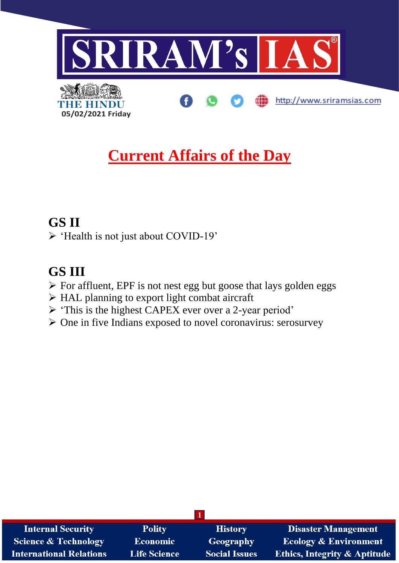

# **Current Affairs of the Day**

## **GS II**

➢ 'Health is not just about COVID-19'

## **GS III**

- ➢ For affluent, EPF is not nest egg but goose that lays golden eggs
- ➢ HAL planning to export light combat aircraft
- ➢ 'This is the highest CAPEX ever over a 2-year period'
- ➢ One in five Indians exposed to novel coronavirus: serosurvey

| <b>Internal Security</b>        | <b>Polity</b>       | <b>History</b>       | <b>Disaster Management</b>              |  |
|---------------------------------|---------------------|----------------------|-----------------------------------------|--|
| <b>Science &amp; Technology</b> | <b>Economic</b>     | <b>Geography</b>     | <b>Ecology &amp; Environment</b>        |  |
| <b>International Relations</b>  | <b>Life Science</b> | <b>Social Issues</b> | <b>Ethics, Integrity &amp; Aptitude</b> |  |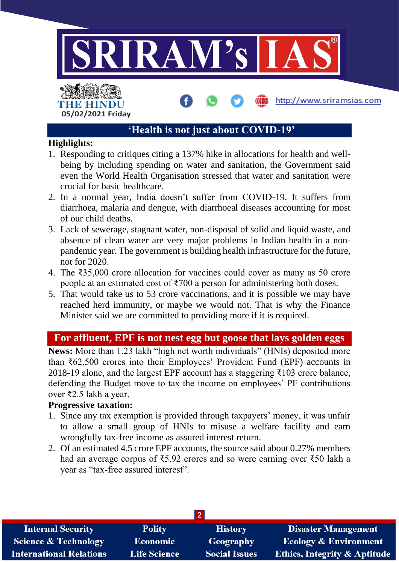

# THE HINDL **05/02/2021 Friday**

## **'Health is not just about COVID-19'**

http://www.sriramsias.com

#### **Highlights:**

- 1. Responding to critiques citing a 137% hike in allocations for health and wellbeing by including spending on water and sanitation, the Government said even the World Health Organisation stressed that water and sanitation were crucial for basic healthcare.
- 2. In a normal year, India doesn't suffer from COVID-19. It suffers from diarrhoea, malaria and dengue, with diarrhoeal diseases accounting for most of our child deaths.
- 3. Lack of sewerage, stagnant water, non-disposal of solid and liquid waste, and absence of clean water are very major problems in Indian health in a nonpandemic year. The government is building health infrastructure for the future, not for 2020.
- 4. The ₹35,000 crore allocation for vaccines could cover as many as 50 crore people at an estimated cost of  $\overline{5700}$  a person for administering both doses.
- 5. That would take us to 53 crore vaccinations, and it is possible we may have reached herd immunity, or maybe we would not. That is why the Finance Minister said we are committed to providing more if it is required.

### **For affluent, EPF is not nest egg but goose that lays golden eggs**

**News:** More than 1.23 lakh "high net worth individuals" (HNIs) deposited more than ₹62,500 crores into their Employees' Provident Fund (EPF) accounts in 2018-19 alone, and the largest EPF account has a staggering ₹103 crore balance, defending the Budget move to tax the income on employees' PF contributions over ₹2.5 lakh a year.

#### **Progressive taxation:**

- 1. Since any tax exemption is provided through taxpayers' money, it was unfair to allow a small group of HNIs to misuse a welfare facility and earn wrongfully tax-free income as assured interest return.
- 2. Of an estimated 4.5 crore EPF accounts, the source said about 0.27% members had an average corpus of ₹5.92 crores and so were earning over ₹50 lakh a year as "tax-free assured interest".

| <b>Internal Security</b>        | <b>Polity</b>       | <b>History</b>       | <b>Disaster Management</b>              |  |
|---------------------------------|---------------------|----------------------|-----------------------------------------|--|
| <b>Science &amp; Technology</b> | <b>Economic</b>     | Geography            | <b>Ecology &amp; Environment</b>        |  |
| <b>International Relations</b>  | <b>Life Science</b> | <b>Social Issues</b> | <b>Ethics, Integrity &amp; Aptitude</b> |  |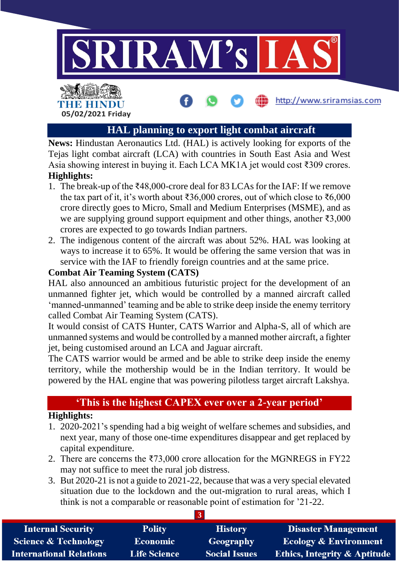

## **HAL planning to export light combat aircraft**

**News:** Hindustan Aeronautics Ltd. (HAL) is actively looking for exports of the Tejas light combat aircraft (LCA) with countries in South East Asia and West Asia showing interest in buying it. Each LCA MK1A jet would cost ₹309 crores. **Highlights:**

- 1. The break-up of the ₹48,000-crore deal for 83 LCAs for the IAF: If we remove the tax part of it, it's worth about  $\overline{36,000}$  crores, out of which close to  $\overline{6,000}$ crore directly goes to Micro, Small and Medium Enterprises (MSME), and as we are supplying ground support equipment and other things, another ₹3,000 crores are expected to go towards Indian partners.
- 2. The indigenous content of the aircraft was about 52%. HAL was looking at ways to increase it to 65%. It would be offering the same version that was in service with the IAF to friendly foreign countries and at the same price.

#### **Combat Air Teaming System (CATS)**

HAL also announced an ambitious futuristic project for the development of an unmanned fighter jet, which would be controlled by a manned aircraft called 'manned-unmanned' teaming and be able to strike deep inside the enemy territory called Combat Air Teaming System (CATS).

It would consist of CATS Hunter, CATS Warrior and Alpha-S, all of which are unmanned systems and would be controlled by a manned mother aircraft, a fighter jet, being customised around an LCA and Jaguar aircraft.

The CATS warrior would be armed and be able to strike deep inside the enemy territory, while the mothership would be in the Indian territory. It would be powered by the HAL engine that was powering pilotless target aircraft Lakshya.

## **'This is the highest CAPEX ever over a 2-year period'**

#### **Highlights:**

- 1. 2020-2021's spending had a big weight of welfare schemes and subsidies, and next year, many of those one-time expenditures disappear and get replaced by capital expenditure.
- 2. There are concerns the  $\text{\textsterling}73,000$  crore allocation for the MGNREGS in FY22 may not suffice to meet the rural job distress.
- 3. But 2020-21 is not a guide to 2021-22, because that was a very special elevated situation due to the lockdown and the out-migration to rural areas, which I think is not a comparable or reasonable point of estimation for '21-22.

| <b>Internal Security</b>        | <b>Polity</b>       | <b>History</b>       | <b>Disaster Management</b>              |
|---------------------------------|---------------------|----------------------|-----------------------------------------|
| <b>Science &amp; Technology</b> | <b>Economic</b>     | Geography            | <b>Ecology &amp; Environment</b>        |
| <b>International Relations</b>  | <b>Life Science</b> | <b>Social Issues</b> | <b>Ethics, Integrity &amp; Aptitude</b> |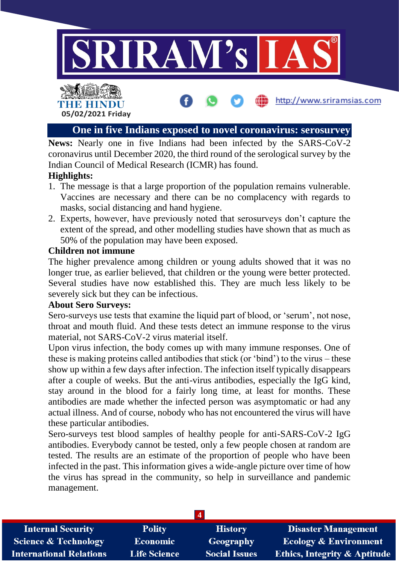

#### **One in five Indians exposed to novel coronavirus: serosurvey**

**News:** Nearly one in five Indians had been infected by the SARS-CoV-2 coronavirus until December 2020, the third round of the serological survey by the Indian Council of Medical Research (ICMR) has found.

#### **Highlights:**

- 1. The message is that a large proportion of the population remains vulnerable. Vaccines are necessary and there can be no complacency with regards to masks, social distancing and hand hygiene.
- 2. Experts, however, have previously noted that serosurveys don't capture the extent of the spread, and other modelling studies have shown that as much as 50% of the population may have been exposed.

#### **Children not immune**

**05/02/2021 Friday**

THE HINDI

The higher prevalence among children or young adults showed that it was no longer true, as earlier believed, that children or the young were better protected. Several studies have now established this. They are much less likely to be severely sick but they can be infectious.

#### **About Sero Surveys:**

Sero-surveys use tests that examine the liquid part of blood, or 'serum', not nose, throat and mouth fluid. And these tests detect an immune response to the virus material, not SARS-CoV-2 virus material itself.

Upon virus infection, the body comes up with many immune responses. One of these is making proteins called antibodies that stick (or 'bind') to the virus – these show up within a few days after infection. The infection itself typically disappears after a couple of weeks. But the anti-virus antibodies, especially the IgG kind, stay around in the blood for a fairly long time, at least for months. These antibodies are made whether the infected person was asymptomatic or had any actual illness. And of course, nobody who has not encountered the virus will have these particular antibodies.

Sero-surveys test blood samples of healthy people for anti-SARS-CoV-2 IgG antibodies. Everybody cannot be tested, only a few people chosen at random are tested. The results are an estimate of the proportion of people who have been infected in the past. This information gives a wide-angle picture over time of how the virus has spread in the community, so help in surveillance and pandemic management.

| <b>Internal Security</b>        | <b>Polity</b>       | <b>History</b>       | <b>Disaster Management</b>              |  |
|---------------------------------|---------------------|----------------------|-----------------------------------------|--|
| <b>Science &amp; Technology</b> | <b>Economic</b>     | Geography            | <b>Ecology &amp; Environment</b>        |  |
| <b>International Relations</b>  | <b>Life Science</b> | <b>Social Issues</b> | <b>Ethics, Integrity &amp; Aptitude</b> |  |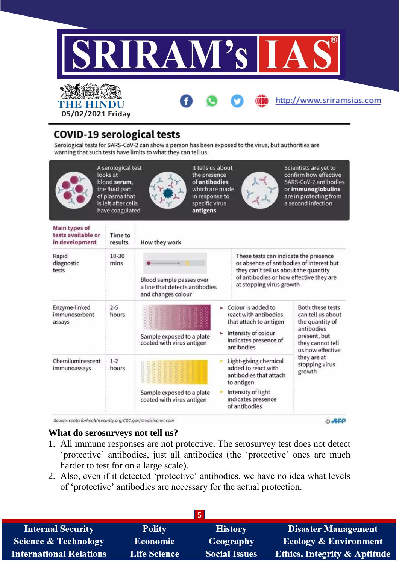

## **COVID-19 serological tests**

**05/02/2021 Friday**

Serological tests for SARS-CoV-2 can show a person has been exposed to the virus, but authorities are warning that such tests have limits to what they can tell us

| looks at<br>blood serum.<br>the fluid part |                                                        |                                                                                                                                                   | Scientists are yet to<br>confirm how effective<br>SARS-CoV-2 antibodies<br>or immunoglobulins<br>are in protecting from<br>a second infection                         |
|--------------------------------------------|--------------------------------------------------------|---------------------------------------------------------------------------------------------------------------------------------------------------|-----------------------------------------------------------------------------------------------------------------------------------------------------------------------|
| Time to<br>results                         | How they work                                          |                                                                                                                                                   |                                                                                                                                                                       |
| $10 - 30$<br>mins                          | Blood sample passes over<br>and changes colour         | at stopping virus growth                                                                                                                          | These tests can indicate the presence<br>or absence of antibodies of interest but<br>they can't tell us about the quantity<br>of antibodies or how effective they are |
| $2 - 5$<br>hours                           | Sample exposed to a plate<br>coated with virus antigen | Colour is added to<br>react with antibodies<br>that attach to antigen<br>Intensity of colour<br>indicates presence of<br>antibodies               | <b>Both these tests</b><br>can tell us about<br>the quantity of<br>antibodies<br>present, but<br>they cannot tell<br>us how effective                                 |
| $1-2$<br>hours                             | Sample exposed to a plate<br>coated with virus antigen | Light-giving chemical<br>added to react with<br>antibodies that attach<br>to antigen<br>Intensity of light<br>indicates presence<br>of antibodies | they are at<br>stopping virus<br>growth                                                                                                                               |
|                                            |                                                        | A serological test<br>of plasma that<br>is left after cells<br>have coagulated                                                                    | It tells us about<br>the presence<br>of antibodies<br>which are made<br>in response to<br>specific virus<br>antigens<br>a line that detects antibodies                |

#### **What do serosurveys not tell us?**

- 1. All immune responses are not protective. The serosurvey test does not detect 'protective' antibodies, just all antibodies (the 'protective' ones are much harder to test for on a large scale).
- 2. Also, even if it detected 'protective' antibodies, we have no idea what levels of 'protective' antibodies are necessary for the actual protection.

|                                 |                     | $\mathbf{5}$         |                                         |
|---------------------------------|---------------------|----------------------|-----------------------------------------|
| <b>Internal Security</b>        | <b>Polity</b>       | <b>History</b>       | <b>Disaster Management</b>              |
| <b>Science &amp; Technology</b> | Economic            | Geography            | <b>Ecology &amp; Environment</b>        |
| <b>International Relations</b>  | <b>Life Science</b> | <b>Social Issues</b> | <b>Ethics, Integrity &amp; Aptitude</b> |